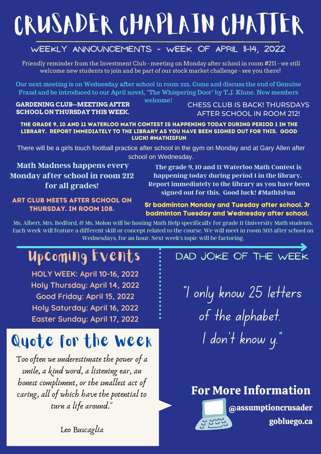# CRUSADER CHAPLAIN CHATTER

### **Weekly Announcements - week of april 11-14, 2022**

Friendly reminder from the Investment Club - meeting on Monday after school in room #211 - we still welcome new students to join and be part of our stock market challenge - see you there!

Our next meeting is on Wednesday after school in room 222. Come and discuss the end of Genuine Fraud and be introduced to our April novel, "The Whispering Door" by T.J. Klune. New members

welcome!

#### **GARDENING CLUB--MEETING AFTER SCHOOL ON THURSDAY THIS WEEK.**

CHESS CLUB IS BACK! THURSDAYS AFTER SCHOOL IN ROOM 212!

The grade 9, 10 and 11 Waterloo Math Contest is happening today during period 1 in the library. Report immediately to the library as you have been signed out for this. Good luck! #MathIsFun

There will be a girls touch football practice after school in the gym on Monday and at Gary Allen after school on Wednesday.

**Math Madness happens every Monday after school in room 212 for all grades!**

**The grade 9, 10 and 11 Waterloo Math Contest is happening today during period 1 in the library. Report immediately to the library as you have been signed out for this. Good luck! #MathIsFun**

#### Art Club meets after school on thursDAY. in room 108.

### **Sr badminton Monday and Tuesday after school. Jr badminton Tuesday and Wednesday after school.**

Ms. Albert, Mrs. Bedford, & Ms. Molon will be hosting Math Help specifically for grade 11 University Math students. Each week will feature a different skill or concept related to the course. We will meet in room 303 after school on Wednesdays, for an hour. Next week's topic will be factoring.

# Upcoming Events

**HOLY WEEK: April 10-16, 2022 Holy Thursday: April 14, 2022 Good Friday: April 15, 2022 Holy Saturday: April 16, 2022 Easter Sunday: April 17, 2022**

# Quote for the Week

Too often we underestimate the power of a smile, a kind word, a listening ear, an honest compliment, or the smallest act of caring, all of which have the potential to turn a life around."

### DAD JOKE OF THE WEEK

"I only know 25 letters of the alphabet. I don 't know y."

### For More Information



Leo [Buscaglia](https://www.brainyquote.com/authors/leo-buscaglia-quotes)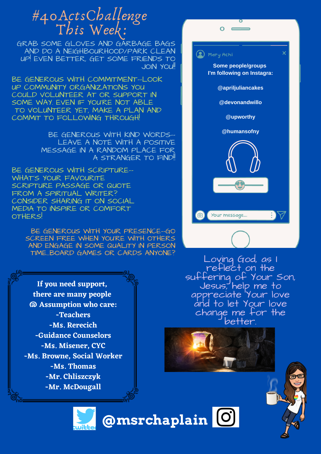# #40ActsChallenge This Week:

GRAB SOME GLOVES AND GARBAGE BAGS AND DO A NEIGHBOURHOOD/PARK CLEAN UP! EVEN BETTER, GET SOME FRIENDS TO **JOIN YOU!!** 

BE GENEROUS WITH COMMITMENT--LOOK UP COMMUNITY ORGANIZATIONS YOU COULD VOLUNTEER AT OR SUPPORT IN SOME WAY. EVEN IF YOU'RE NOT ABLE TO VOLUNTEER YET, MAKE A PLAN AND COMMIT TO FOLLOWING THROUGH!

> BE GENEROUS WITH KIND WORDS-- LEAVE A NOTE WITH A POSITIVE MESSAGE IN A RANDOM PLACE FOR A STRANGER TO FIND!!

BE GENEROUS WITH SCRIPTURE-- WHAT'S YOUR FAVOURITE SCRIPTURE PASSAGE OR QUOTE FROM A SPIRITUAL WRITER? CONSIDER SHARING IT ON SOCIAL MEDIA TO INSPIRE OR COMFORT OTHERS!

> BE GENEROUS WITH YOUR PRESENCE--GO SCREEN FREE WHEN YOU'RE WITH OTHERS AND ENGAGE IN SOME QUALITY IN PERSON TIME...BOARD GAMES OR CARDS ANYONE?



**If you need support, there are many people @ Assumption who care: -Teachers -Ms. Rerecich -Guidance Counselors -Ms. Misener, CYC -Ms. Browne, Social Worker -Ms. Thomas -Mr. Chliszczyk -Mr. McDougall**

Loving God, as I reflect on the suffering of Your Son, Jesus, help me to appreciate Your love and to let Your love change me for the better.